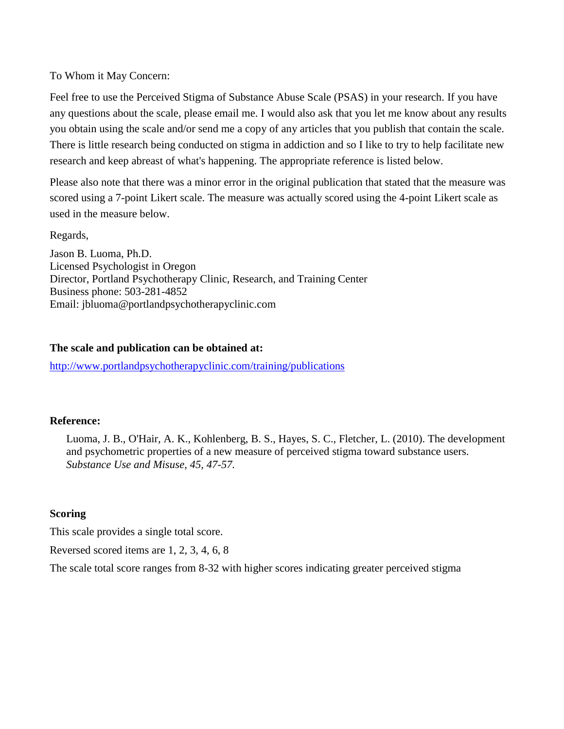To Whom it May Concern:

Feel free to use the Perceived Stigma of Substance Abuse Scale (PSAS) in your research. If you have any questions about the scale, please email me. I would also ask that you let me know about any results you obtain using the scale and/or send me a copy of any articles that you publish that contain the scale. There is little research being conducted on stigma in addiction and so I like to try to help facilitate new research and keep abreast of what's happening. The appropriate reference is listed below.

Please also note that there was a minor error in the original publication that stated that the measure was scored using a 7-point Likert scale. The measure was actually scored using the 4-point Likert scale as used in the measure below.

Regards,

Jason B. Luoma, Ph.D. Licensed Psychologist in Oregon Director, Portland Psychotherapy Clinic, Research, and Training Center Business phone: 503-281-4852 Email: jbluoma@portlandpsychotherapyclinic.com

## **The scale and publication can be obtained at:**

<http://www.portlandpsychotherapyclinic.com/training/publications>

## **Reference:**

Luoma, J. B., O'Hair, A. K., Kohlenberg, B. S., Hayes, S. C., Fletcher, L. (2010). The development and psychometric properties of a new measure of perceived stigma toward substance users. *Substance Use and Misuse, 45, 47-57.*

## **Scoring**

This scale provides a single total score.

Reversed scored items are 1, 2, 3, 4, 6, 8

The scale total score ranges from 8-32 with higher scores indicating greater perceived stigma